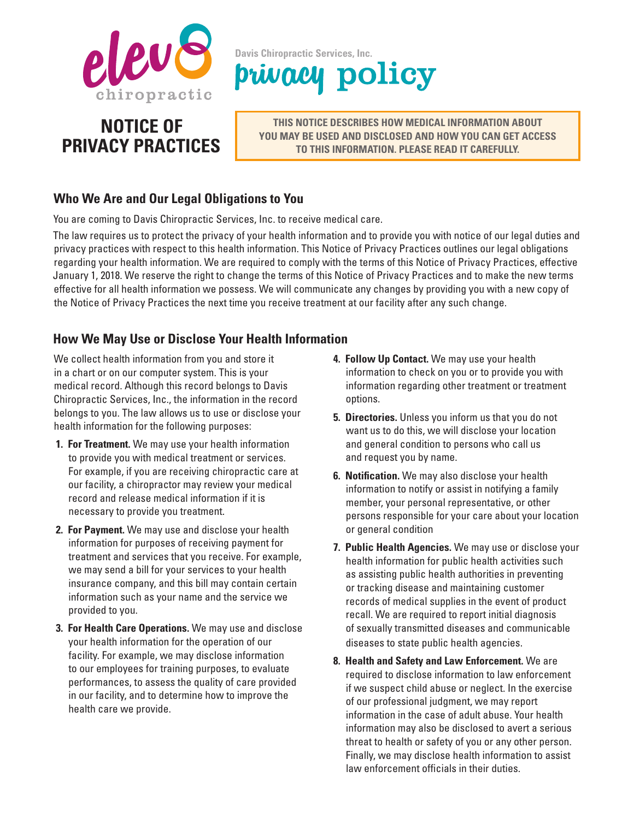

# **NOTICE OF PRIVACY PRACTICES**

**Davis Chiropractic Services, Inc.** privacy policy

> **THIS NOTICE DESCRIBES HOW MEDICAL INFORMATION ABOUT YOU MAY BE USED AND DISCLOSED AND HOW YOU CAN GET ACCESS TO THIS INFORMATION. PLEASE READ IT CAREFULLY.**

# **Who We Are and Our Legal Obligations to You**

You are coming to Davis Chiropractic Services, Inc. to receive medical care.

The law requires us to protect the privacy of your health information and to provide you with notice of our legal duties and privacy practices with respect to this health information. This Notice of Privacy Practices outlines our legal obligations regarding your health information. We are required to comply with the terms of this Notice of Privacy Practices, effective January 1, 2018. We reserve the right to change the terms of this Notice of Privacy Practices and to make the new terms effective for all health information we possess. We will communicate any changes by providing you with a new copy of the Notice of Privacy Practices the next time you receive treatment at our facility after any such change.

### **How We May Use or Disclose Your Health Information**

We collect health information from you and store it in a chart or on our computer system. This is your medical record. Although this record belongs to Davis Chiropractic Services, Inc., the information in the record belongs to you. The law allows us to use or disclose your health information for the following purposes:

- **1. For Treatment.** We may use your health information to provide you with medical treatment or services. For example, if you are receiving chiropractic care at our facility, a chiropractor may review your medical record and release medical information if it is necessary to provide you treatment.
- **2. For Payment.** We may use and disclose your health information for purposes of receiving payment for treatment and services that you receive. For example, we may send a bill for your services to your health insurance company, and this bill may contain certain information such as your name and the service we provided to you.
- **3. For Health Care Operations.** We may use and disclose your health information for the operation of our facility. For example, we may disclose information to our employees for training purposes, to evaluate performances, to assess the quality of care provided in our facility, and to determine how to improve the health care we provide.
- **4. Follow Up Contact.** We may use your health information to check on you or to provide you with information regarding other treatment or treatment options.
- **5. Directories.** Unless you inform us that you do not want us to do this, we will disclose your location and general condition to persons who call us and request you by name.
- **6. Notification.** We may also disclose your health information to notify or assist in notifying a family member, your personal representative, or other persons responsible for your care about your location or general condition
- **7. Public Health Agencies.** We may use or disclose your health information for public health activities such as assisting public health authorities in preventing or tracking disease and maintaining customer records of medical supplies in the event of product recall. We are required to report initial diagnosis of sexually transmitted diseases and communicable diseases to state public health agencies.
- **8. Health and Safety and Law Enforcement.** We are required to disclose information to law enforcement if we suspect child abuse or neglect. In the exercise of our professional judgment, we may report information in the case of adult abuse. Your health information may also be disclosed to avert a serious threat to health or safety of you or any other person. Finally, we may disclose health information to assist law enforcement officials in their duties.